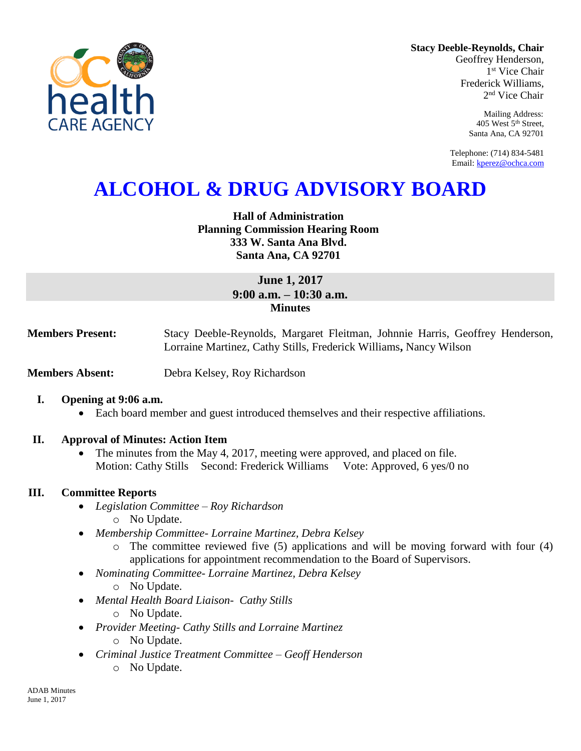

**Stacy Deeble-Reynolds, Chair** Geoffrey Henderson,

1 st Vice Chair Frederick Williams, 2 nd Vice Chair

> Mailing Address: 405 West 5th Street, Santa Ana, CA 92701

Telephone: (714) 834-5481 Email[: kperez@ochca.com](mailto:kperez@ochca.com)

# **ALCOHOL & DRUG ADVISORY BOARD**

## **Hall of Administration Planning Commission Hearing Room 333 W. Santa Ana Blvd. Santa Ana, CA 92701**

# **June 1, 2017 9:00 a.m. – 10:30 a.m. Minutes**

**Members Present:** Stacy Deeble-Reynolds, Margaret Fleitman, Johnnie Harris, Geoffrey Henderson, Lorraine Martinez, Cathy Stills, Frederick Williams**,** Nancy Wilson

**Members Absent:** Debra Kelsey, Roy Richardson

## **I. Opening at 9:06 a.m.**

Each board member and guest introduced themselves and their respective affiliations.

## **II. Approval of Minutes: Action Item**

• The minutes from the May 4, 2017, meeting were approved, and placed on file. Motion: Cathy Stills Second: Frederick Williams Vote: Approved, 6 yes/0 no

## **III. Committee Reports**

- *Legislation Committee – Roy Richardson* o No Update.
- *Membership Committee- Lorraine Martinez, Debra Kelsey* 
	- o The committee reviewed five (5) applications and will be moving forward with four (4) applications for appointment recommendation to the Board of Supervisors.
- *Nominating Committee- Lorraine Martinez, Debra Kelsey*
	- o No Update.
- *Mental Health Board Liaison- Cathy Stills*
	- o No Update.
- *Provider Meeting- Cathy Stills and Lorraine Martinez*
	- o No Update.
- *Criminal Justice Treatment Committee – Geoff Henderson* o No Update.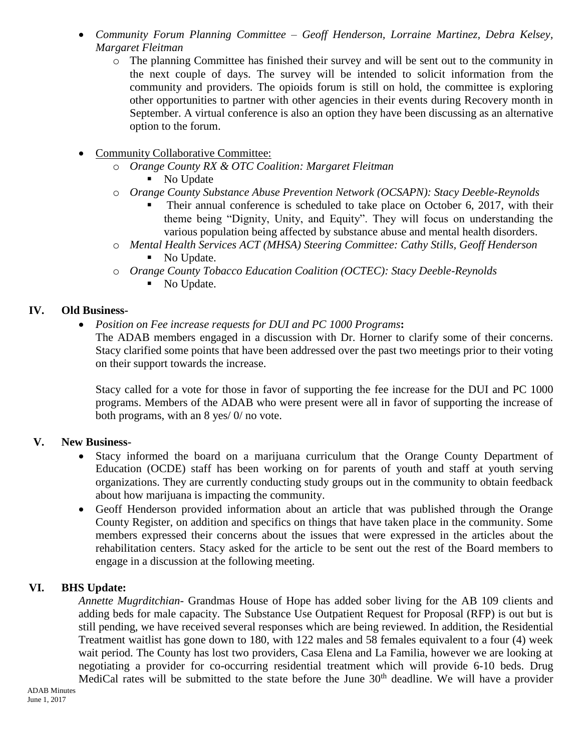- *Community Forum Planning Committee – Geoff Henderson, Lorraine Martinez, Debra Kelsey, Margaret Fleitman*
	- o The planning Committee has finished their survey and will be sent out to the community in the next couple of days. The survey will be intended to solicit information from the community and providers. The opioids forum is still on hold, the committee is exploring other opportunities to partner with other agencies in their events during Recovery month in September. A virtual conference is also an option they have been discussing as an alternative option to the forum.
- Community Collaborative Committee:
	- o *Orange County RX & OTC Coalition: Margaret Fleitman*
		- No Update
	- o *Orange County Substance Abuse Prevention Network (OCSAPN): Stacy Deeble-Reynolds*
		- Their annual conference is scheduled to take place on October 6, 2017, with their theme being "Dignity, Unity, and Equity". They will focus on understanding the various population being affected by substance abuse and mental health disorders.
	- o *Mental Health Services ACT (MHSA) Steering Committee: Cathy Stills, Geoff Henderson* No Update.
	- o *Orange County Tobacco Education Coalition (OCTEC): Stacy Deeble-Reynolds*
		- No Update.

# **IV. Old Business-**

*Position on Fee increase requests for DUI and PC 1000 Programs***:** 

The ADAB members engaged in a discussion with Dr. Horner to clarify some of their concerns. Stacy clarified some points that have been addressed over the past two meetings prior to their voting on their support towards the increase.

Stacy called for a vote for those in favor of supporting the fee increase for the DUI and PC 1000 programs. Members of the ADAB who were present were all in favor of supporting the increase of both programs, with an 8 yes/ 0/ no vote.

## **V. New Business-**

- Stacy informed the board on a marijuana curriculum that the Orange County Department of Education (OCDE) staff has been working on for parents of youth and staff at youth serving organizations. They are currently conducting study groups out in the community to obtain feedback about how marijuana is impacting the community.
- Geoff Henderson provided information about an article that was published through the Orange County Register, on addition and specifics on things that have taken place in the community. Some members expressed their concerns about the issues that were expressed in the articles about the rehabilitation centers. Stacy asked for the article to be sent out the rest of the Board members to engage in a discussion at the following meeting.

# **VI. BHS Update:**

*Annette Mugrditchian-* Grandmas House of Hope has added sober living for the AB 109 clients and adding beds for male capacity. The Substance Use Outpatient Request for Proposal (RFP) is out but is still pending, we have received several responses which are being reviewed. In addition, the Residential Treatment waitlist has gone down to 180, with 122 males and 58 females equivalent to a four (4) week wait period. The County has lost two providers, Casa Elena and La Familia, however we are looking at negotiating a provider for co-occurring residential treatment which will provide 6-10 beds. Drug MediCal rates will be submitted to the state before the June 30<sup>th</sup> deadline. We will have a provider